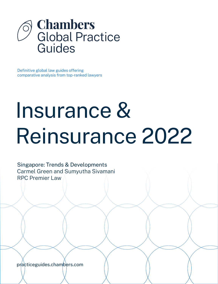

Definitive global law guides offering comparative analysis from top-ranked lawyers

# Insurance & Reinsurance 2022

Singapore: Trends & Developments Carmel Green and Sumyutha Sivamani RPC Premier Law

[practiceguides.chambers.com](http://practiceguides.chambers.com)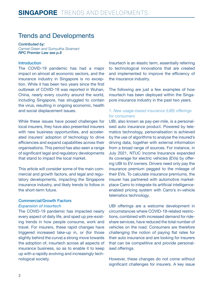## Trends and Developments

*Contributed by: Carmel Green and Sumyutha Sivamani RPC Premier La[w see p.8](#page-7-0)*

#### Introduction

The COVID-19 pandemic has had a major impact on almost all economic sectors, and the insurance industry in Singapore is no exception. While it has been two years since the first outbreak of COVID-19 was reported in Wuhan, China, nearly every country around the world, including Singapore, has struggled to contain the virus, resulting in ongoing economic, health and social displacement issues.

While these issues have posed challenges for local insurers, they have also presented insurers with new business opportunities, and accelerated insurers' adoption of technology to drive efficiencies and expand capabilities across their organisations. This period has also seen a range of significant legal and regulatory developments that stand to impact the local market.

This article will consider some of the main commercial and growth factors, and legal and regulatory developments, impacting the Singapore insurance industry, and likely trends to follow in the short-term future.

#### Commercial/Growth Factors

#### *Expansion of insurtech*

The COVID-19 pandemic has impacted nearly every aspect of daily life, and sped up pre-existing trends in how people consume, work and travel. For insurers, these rapid changes have triggered increased take-up in, or (for those slightly behind the curve) a strong move towards the adoption of, insurtech across all aspects of insurance business, so as to enable it to keep up with a rapidly evolving and increasingly technological society.

Insurtech is an elastic term, essentially referring to technological innovations that are created and implemented to improve the efficiency of the insurance industry.

The following are just a few examples of how insurtech has been deployed within the Singapore insurance industry in the past two years.

#### *1. New usage-based insurance (UBI) offerings for consumers*

UBI, also known as pay-per-mile, is a personalised auto insurance product. Powered by telematics technology, personalisation is achieved by the use of algorithms to analyse the insured's driving data, together with external information from a broad range of sources. For instance, in July 2021, NTUC Income Insurance expanded its coverage for electric vehicles (EVs) by offering UBI to EV owners. Drivers need only pay the insurance premium pegged to the mileage of their EVs. To calculate insurance premiums, the insurer has partnered with automotive marketplace Carro to integrate its artificial intelligenceenabled pricing system with Carro's in-vehicle telematics technology.

UBI offerings are a welcome development in circumstances where COVID-19-related restrictions, combined with increased demand for rideshare services, have reduced the total number of vehicles on the road. Consumers are therefore challenging the notion of paying flat rates for their auto insurance and are looking for insurers that can be competitive and provide personalised offerings.

However, these changes do not come without significant challenges for insurers. A key issue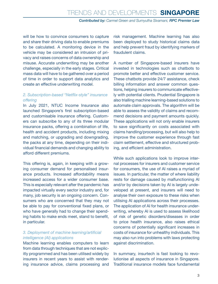*Contributed by: Carmel Green and Sumyutha Sivamani, RPC Premier Law*

will be how to convince consumers to capture and share their driving data to enable premiums to be calculated. A monitoring device in the vehicle may be considered an intrusion of privacy and raises concerns of data ownership and misuse. Accurate underwriting may be another challenge, especially in the early stages. Critical mass data will have to be gathered over a period of time in order to support data analytics and create an effective underwriting model.

#### *2. Subscription-based "Netflix-style" insurance offering*

In July 2021, NTUC Income Insurance also launched Singapore's first subscription-based and customisable insurance offering. Customers can subscribe to any of its three modular insurance packs, offering a combination of life, health and accident products, including mixing and matching, or upgrading and downgrading, the packs at any time, depending on their individual financial demands and changing ability to afford different premiums.

This offering is, again, in keeping with a growing consumer demand for personalised insurance products. Increased affordability means increased access for a wider consumer base. This is especially relevant after the pandemic has impacted virtually every sector industry and, for many, job security is an ongoing concern. Consumers who are concerned that they may not be able to pay for conventional fixed plans, or who have generally had to change their spending habits to make ends meet, stand to benefit, in particular.

#### *3. Deployment of machine learning/artificial intelligence (AI) applications*

Machine learning enables computers to learn from data through techniques that are not explicitly programmed and has been utilised widely by insurers in recent years to assist with rendering insurance advice, claims processing and

risk management. Machine learning has also been deployed to study historical claims data and help prevent fraud by identifying markers of fraudulent claims.

A number of Singapore-based insurers have invested in technologies such as chatbots to promote better and effective customer service. These chatbots provide 24/7 assistance, check billing information and answer common questions, helping insurers to communicate effectively with potential clients. Prudential Singapore is also trialling machine learning-based solutions to automate claim approvals. The algorithm will be able to assess the validity of claims and recommend decisions and payment amounts quickly. These applications will not only enable insurers to save significantly on costs associated with claims handling/processing, but will also help to improve the customer experience through fast claim settlement, effective and structured probing, and efficient administration.

While such applications look to improve internal processes for insurers and customer service for consumers, the use of AI raises a myriad of issues. In particular, the matter of where liability rests for damage caused by malfunctioning AI and/or by decisions taken by AI is largely undeveloped at present, and insurers will need to analyse their own exposure to these risks when utilising AI applications across their processes. The application of AI for health insurance underwriting, whereby AI is used to assess likelihood of risk of genetic disorders/diseases in order to price health insurance, also raises ethical concerns of potentially significant increases in costs of insurance for unhealthy individuals. This may also run into problems with laws protecting against discrimination.

In summary, insurtech is fast looking to revolutionise all aspects of insurance in Singapore. Traditional insurance models face fundamental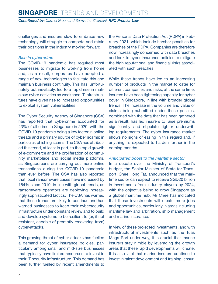# **singapore** Trends and Developments

*Contributed by: Carmel Green and Sumyutha Sivamani, RPC Premier Law*

challenges and insurers slow to embrace new technology will struggle to compete and retain their positions in the industry moving forward.

#### *Rise in cybercrime*

The COVID-19 pandemic has required most businesses to migrate to working from home and, as a result, corporates have adopted a range of new technologies to facilitate this and maintain business continuity. This has, unfortunately but inevitably, led to a rapid rise in malicious cyber activities as weakened IT infrastructures have given rise to increased opportunities to exploit system vulnerabilities.

The Cyber Security Agency of Singapore (CSA) has reported that cybercrime accounted for 43% of all crime in Singapore in 2020, with the COVID-19 pandemic being a key factor in online threats and a primary source of cyber scams; in particular, phishing scams. The CSA has attributed this trend, at least in part, to the rapid growth of e-commerce and the proliferation of community marketplace and social media platforms, as Singaporeans are carrying out more online transactions during the COVID-19 pandemic than ever before. The CSA has also reported that local ransomware cases have increased by 154% since 2019, in line with global trends, as ransomware operators are deploying increasingly sophisticated tactics. The CSA has warned that these trends are likely to continue and has warned businesses to keep their cybersecurity infrastructure under constant review and to build and develop systems to be resilient to (or, if not resistant, capable of promptly recovering from) cyber-attacks.

This growing threat of cyber-attacks has fuelled a demand for cyber insurance policies, particularly among small and mid-size businesses that typically have limited resources to invest in their IT security infrastructure. This demand has been further fuelled by recent amendments to the Personal Data Protection Act (PDPA) in February 2021, which include harsher penalties for breaches of the PDPA. Companies are therefore now increasingly concerned with data breaches and look to cyber insurance policies to mitigate the high reputational and financial risks associated with such breaches.

While these trends have led to an increasing number of products in the market to cater for different companies and risks, at the same time, insurers have been tightening capacity for cyber cover in Singapore, in line with broader global trends. The increase in the volume and value of claims being submitted under these policies, combined with the data that has been gathered as a result, has led insurers to raise premiums significantly and stipulate tighter underwriting requirements. The cyber insurance market shows no signs of easing in this regard and, if anything, is expected to harden further in the coming months.

#### *Anticipated boost to the maritime sector*

In a debate over the Ministry of Transport's budget, the Senior Minister of State for Transport, Chee Hong Tat, announced that the maritime sector can expect to receive SGD20 billion in investments from industry players by 2024, with the objective being to grow Singapore as a global maritime hub. Mr Chee has indicated that these investments will create more jobs and opportunities, particularly in areas including maritime law and arbitration, ship management and marine insurance.

In view of these projected investments, and with infrastructural investments such as the Tuas Mega Port under way, it is crucial that marine insurers stay nimble by leveraging the growth areas that these rapid developments will create. It is also vital that marine insurers continue to invest in talent development and training, ensur-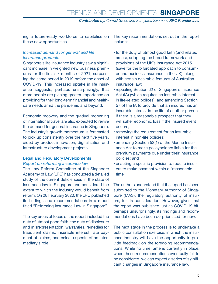ing a future-ready workforce to capitalise on these new opportunities.

#### *Increased demand for general and life insurance products*

Singapore's life insurance industry saw a significant increase in weighted new business premiums for the first six months of 2021, surpassing the same period in 2019 before the onset of COVID-19. This increased uptake in life insurance suggests, perhaps unsurprisingly, that more people are placing greater importance on providing for their long-term financial and healthcare needs amid the pandemic and beyond.

Economic recovery and the gradual reopening of international travel are also expected to revive the demand for general insurance in Singapore. The industry's growth momentum is forecasted to pick up consistently over the next five years, aided by product innovation, digitalisation and infrastructure development projects.

#### Legal and Regulatory Developments *Report on reforming insurance law*

The Law Reform Committee of the Singapore Academy of Law (LRC) has conducted a detailed study of the current deficiencies in the state of insurance law in Singapore and considered the extent to which the industry would benefit from reform. On 28 February 2020, the LRC published its findings and recommendations in a report titled "Reforming Insurance Law in Singapore".

The key areas of focus of the report included the duty of utmost good faith, the duty of disclosure and misrepresentation, warranties, remedies for fraudulent claims, insurable interest, late payment of claims, and select aspects of an intermediary's role.

The key recommendations set out in the report include:

- for the duty of utmost good faith (and related areas), adopting the broad framework and provisions of the UK's Insurance Act 2015 (save for the bifurcated approach to consumer and business insurance in the UK), along with certain desirable features of Australian insurance law;
- repealing Section 62 of Singapore's Insurance Act (IA) (which requires an insurable interest in life-related polices), and amending Section 57 of the IA to provide that an insured has an insurable interest in the life of another person if there is a reasonable prospect that they will suffer economic loss if the insured event occurs;
- removing the requirement for an insurable interest in non-life policies;
- amending Section 53(1) of the Marine Insurance Act to make policyholders liable for the premium payments due under their insurance policies; and
- enacting a specific provision to require insurers to make payment within a "reasonable time".

The authors understand that the report has been submitted to the Monetary Authority of Singapore (MAS), the regulatory authority of insurers, for its consideration. However, given that the report was published just as COVID-19 hit, perhaps unsurprisingly, its findings and recommendations have been de-prioritised for now.

The next stage in the process is to undertake a public consultation exercise, in which the insurance industry will have the opportunity to provide feedback on the foregoing recommendations. While no timeframe is currently in place, when these recommendations eventually fall to be considered, we can expect a series of significant changes in Singapore insurance law.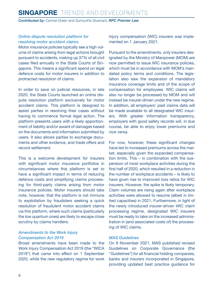# **singapore** Trends and Developments

*Contributed by: Carmel Green and Sumyutha Sivamani, RPC Premier Law*

#### *Online dispute resolution platform for resolving motor accident claims*

Motor insurance policies typically see a high volume of claims arising from legal actions brought pursuant to accidents, making up 37% of all civil cases filed annually in the State Courts of Singapore. This means a significant spend on legal defence costs for motor insurers in addition to protracted resolution of claims.

In order to save on judicial resources, in late 2020, the State Courts launched an online dispute resolution platform exclusively for motor accident claims. This platform is designed to assist parties in resolving their cases without having to commence formal legal action. The platform presents users with a likely apportionment of liability and/or award of damages based on the documents and information submitted by users. It also allows parties to exchange documents and other evidence, and trade offers and record settlement.

This is a welcome development for insurers with significant motor insurance portfolios in circumstances where this platform is set to have a significant impact in terms of reducing defence costs and simplifying claims processing for third-party claims arising from motor insurance policies. Motor insurers should take note, however, that the platform is not immune to exploitation by fraudsters seeking a quick resolution of fraudulent motor accident claims via this platform, where such claims (particularly the low quantum ones) are likely to escape close scrutiny by claims handlers.

#### *Amendments to the Work Injury Compensation Act 2019*

Broad amendments have been made to the Work Injury Compensation Act 2019 (the "WICA 2019") that came into effect on 1 September 2020, while the new regulatory regime for work injury compensation (WIC) insurers was implemented on 1 January 2021.

Pursuant to the amendments, only insurers designated by the Ministry of Manpower (MOM) are now permitted to issue WIC insurance policies, which must be in accordance with MOM's mandated policy terms and conditions. The legislation also saw the expansion of mandatory insurance coverage limits and of the scope of compensation for employees. WIC claims will also no longer be processed by MOM and will instead be insurer-driven under the new regime. In addition, all employers' past claims data will be made available to all designated WIC insurers. With greater information transparency, employers with good safety records will, in due course, be able to enjoy lower premiums and vice versa.

For now, however, these significant changes have led to increased premiums across the market, especially given the expanded compensation limits. This – in combination with the suspension of most workplace activities during the first half of 2020, which resulted in a reduction in the number of workplace accidents – is likely to have given rise to improved loss ratios for WIC insurers. However, the spike is likely temporary. Claim volumes are rising again after workplace activities were allowed to resume (albeit in limited capacities) in 2021. Furthermore, in light of the newly introduced insurer-driven WIC claim processing regime, designated WIC insurers must be ready to take on the increased administration in (and associated costs of) the processing of WIC claims.

#### *MAS Guidelines*

On 9 November 2021, MAS published revised Guidelines on Corporate Governance (the "Guidelines") for all financial holding companies, banks and insurers incorporated in Singapore, providing updated best practice guidance for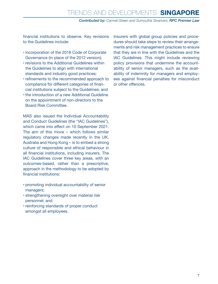*Contributed by: Carmel Green and Sumyutha Sivamani, RPC Premier Law*

financial institutions to observe. Key revisions to the Guidelines include:

- incorporation of the 2018 Code of Corporate Governance (in place of the 2012 version);
- revisions to the Additional Guidelines within the Guidelines to align with international standards and industry good practices;
- refinements to the recommended approach to compliance for different categories of financial institutions subject to the Guidelines; and
- the introduction of a new Additional Guideline on the appointment of non-directors to the Board Risk Committee.

MAS also issued the Individual Accountability and Conduct Guidelines (the "IAC Guidelines"), which came into effect on 10 September 2021. The aim of this move – which follows similar regulatory changes made recently in the UK, Australia and Hong Kong – is to embed a strong culture of responsible and ethical behaviour in all financial institutions, including insurers. The IAC Guidelines cover three key areas, with an outcomes-based, rather than a prescriptive, approach in the methodology to be adopted by financial institutions:

- promoting individual accountability of senior managers;
- strengthening oversight over material risk personnel; and
- reinforcing standards of proper conduct amongst all employees.

Insurers with global group policies and procedures should take steps to review their arrangements and risk management practices to ensure that they are in line with the Guidelines and the IAC Guidelines. This might include reviewing policy provisions that undermine the accountability of senior managers, such as the availability of indemnity for managers and employees against financial penalties for misconduct or other offences.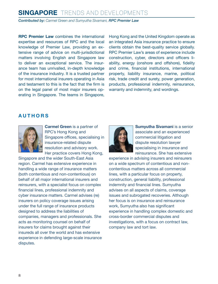# **singapore** Trends and Developments

*Contributed by: Carmel Green and Sumyutha Sivamani, RPC Premier Law*

**RPC Premier Law** combines the international expertise and resources of RPC and the local knowledge of Premier Law, providing an extensive range of advice on multi-jurisdictional matters involving English and Singapore law to deliver an exceptional service. The insurance team has unrivalled, in-depth knowledge of the insurance industry. It is a trusted partner for most international insurers operating in Asia and testament to this is the fact that the firm is on the legal panel of most major insurers operating in Singapore. The teams in Singapore, Hong Kong and the United Kingdom operate as an integrated Asia insurance practice to ensure clients obtain the best-quality service globally. RPC Premier Law's areas of experience include construction, cyber, directors and officers liability, energy (onshore and offshore), fidelity and crime, financial institutions, international property, liability insurance, marine, political risk, trade credit and surety, power generation, products, professional indemnity, reinsurance, warranty and indemnity, and wordings.

#### <span id="page-7-0"></span>**A UTH ORS**



**Carmel Green** is a partner of RPC's Hong Kong and Singapore offices, specialising in insurance-related dispute resolution and advisory work. Her practice covers Hong Kong,

Singapore and the wider South-East Asia region. Carmel has extensive experience in handling a wide range of insurance matters (both contentious and non-contentious) on behalf of all major international insurers and reinsurers, with a specialist focus on complex financial lines, professional indemnity and cyber insurance matters. Carmel advises (re) insurers on policy coverage issues arising under the full range of insurance products designed to address the liabilities of companies, managers and professionals. She acts as monitoring counsel on behalf of insurers for claims brought against their insureds all over the world and has extensive experience in defending large-scale insurance disputes.



**Sumyutha Sivamani** is a senior associate and an experienced commercial litigation and dispute resolution lawyer specialising in insurance and reinsurance. She has extensive

experience in advising insurers and reinsurers on a wide spectrum of contentious and noncontentious matters across all commercial lines, with a particular focus on property, construction, general liability, professional indemnity and financial lines. Sumyutha advises on all aspects of claims, coverage issues and subrogated recoveries. Although her focus is on insurance and reinsurance work, Sumvutha also has significant experience in handling complex domestic and cross-border commercial disputes and investigations, with a focus on contract law, company law and tort law.